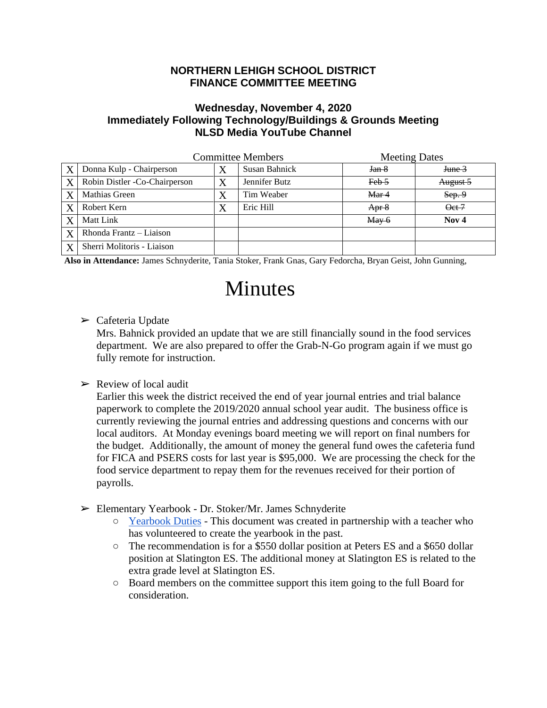## **NORTHERN LEHIGH SCHOOL DISTRICT FINANCE COMMITTEE MEETING**

## **Wednesday, November 4, 2020 Immediately Following Technology/Buildings & Grounds Meeting NLSD Media YouTube Channel**

|   | <b>Committee Members</b>       |   |               | <b>Meeting Dates</b>                  |                  |
|---|--------------------------------|---|---------------|---------------------------------------|------------------|
| X | Donna Kulp - Chairperson       |   | Susan Bahnick | Jan <sub>8</sub>                      | June 3           |
| X | Robin Distler - Co-Chairperson | X | Jennifer Butz | $Feb-5$                               | August 5         |
| X | Mathias Green                  |   | Tim Weaber    | Mar 4                                 | Sep.9            |
| X | Robert Kern                    |   | Eric Hill     | Apr 8                                 | Qct 7            |
|   | Matt Link                      |   |               | $\frac{\text{May } 6}{\text{May } 6}$ | Nov <sub>4</sub> |
| X | Rhonda Frantz - Liaison        |   |               |                                       |                  |
| X | Sherri Molitoris - Liaison     |   |               |                                       |                  |

**Also in Attendance:** James Schnyderite, Tania Stoker, Frank Gnas, Gary Fedorcha, Bryan Geist, John Gunning,

## Minutes

 $\triangleright$  Cafeteria Update

Mrs. Bahnick provided an update that we are still financially sound in the food services department. We are also prepared to offer the Grab-N-Go program again if we must go fully remote for instruction.

 $\triangleright$  Review of local audit

Earlier this week the district received the end of year journal entries and trial balance paperwork to complete the 2019/2020 annual school year audit. The business office is currently reviewing the journal entries and addressing questions and concerns with our local auditors. At Monday evenings board meeting we will report on final numbers for the budget. Additionally, the amount of money the general fund owes the cafeteria fund for FICA and PSERS costs for last year is \$95,000. We are processing the check for the food service department to repay them for the revenues received for their portion of payrolls.

- ➢ Elementary Yearbook Dr. Stoker/Mr. James Schnyderite
	- [Yearbook Duties](https://docs.google.com/document/d/1rpC71U105lKfD3z28bQ0-nHHEDidIjCT4hIBR2gjAyE/edit?usp=sharing) This document was created in partnership with a teacher who has volunteered to create the yearbook in the past.
	- The recommendation is for a \$550 dollar position at Peters ES and a \$650 dollar position at Slatington ES. The additional money at Slatington ES is related to the extra grade level at Slatington ES.
	- Board members on the committee support this item going to the full Board for consideration.